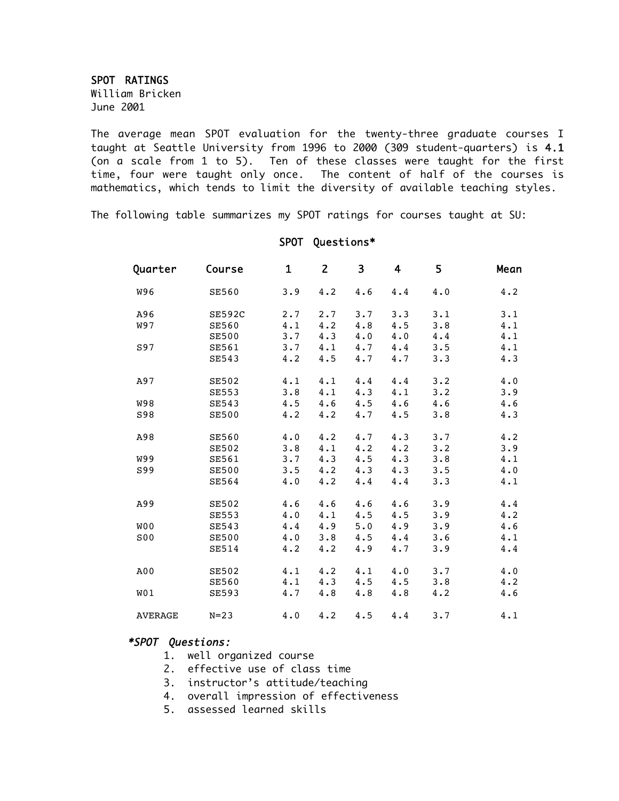SPOT RATINGS William Bricken

June 2001

The average mean SPOT evaluation for the twenty-three graduate courses I taught at Seattle University from 1996 to 2000 (309 student-quarters) is 4.1 (on a scale from 1 to 5). Ten of these classes were taught for the first time, four were taught only once. The content of half of the courses is mathematics, which tends to limit the diversity of available teaching styles.

The following table summarizes my SPOT ratings for courses taught at SU:

### SPOT Questions\*

| Quarter         | Course        | $\mathbf{1}$ | $\mathbf{Z}$ | $\overline{\mathbf{3}}$ | 4           | 5     | Mean        |
|-----------------|---------------|--------------|--------------|-------------------------|-------------|-------|-------------|
| W96             | <b>SE560</b>  | 3.9          | $4 \cdot 2$  | 4.6                     | 4.4         | 4.0   | $4 \cdot 2$ |
| A96             | <b>SE592C</b> | 2.7          |              | $2.7 \quad 3.7$         | 3.3         | 3.1   | 3.1         |
| W97             | <b>SE560</b>  | 4.1          | $4 \cdot 2$  | 4.8                     | 4.5         | 3.8   | 4.1         |
|                 | <b>SE500</b>  | $3 \cdot 7$  | 4.3          | 4.0                     | 4.0         | 4.4   | 4.1         |
| S97             | <b>SE561</b>  | $3 \cdot 7$  | $4 \cdot 1$  | $4 \cdot 7$             | $4 \cdot 4$ | 3.5   | 4.1         |
|                 | <b>SE543</b>  | $4 \cdot 2$  | 4.5          | 4.7                     | 4.7         | 3.3   | 4.3         |
| A97             | <b>SE502</b>  | $4 \cdot 1$  |              | $4.1 \t4.4$             | 4.4         | 3.2   | 4.0         |
|                 | <b>SE553</b>  | 3.8          |              | $4.1 \t 4.3$            | $4 \cdot 1$ | 3.2   | 3.9         |
| <b>W98</b>      | <b>SE543</b>  | 4.5          | 4.6          | 4.5                     | 4.6         | 4.6   | 4.6         |
| S98             | <b>SE500</b>  | $4 \cdot 2$  | $4 \cdot 2$  | 4.7                     | 4.5         | 3.8   | 4.3         |
| A98             | <b>SE560</b>  | $4 \cdot 0$  | $4 \cdot 2$  | 4.7                     | 4.3         | 3.7   | 4.2         |
|                 | <b>SE502</b>  | 3.8          | $4 \cdot 1$  | 4.2                     | 4.2         | 3.2   | 3.9         |
| <b>W99</b>      | <b>SE561</b>  | $3 \cdot 7$  |              | $4.3 \t4.5$             | 4.3         | 3.8   | 4.1         |
| S99             | <b>SE500</b>  | 3.5          | $4 \cdot 2$  | 4.3                     | 4.3         | 3.5   | 4.0         |
|                 | SE564         | 4.0          | 4.2          | $4 \cdot 4$             | 4.4         | 3.3   | 4.1         |
| A99             | <b>SE502</b>  | 4.6          | 4.6          | 4.6                     | 4.6         | 3.9   | 4.4         |
|                 | <b>SE553</b>  | 4.0          | $4 \cdot 1$  | 4.5                     | 4.5         | 3.9   | 4.2         |
| W <sub>00</sub> | <b>SE543</b>  | 4.4          |              | 4.9 5.0                 | 4.9         | 3.9   | 4.6         |
| S00             | <b>SE500</b>  | 4.0          | 3.8          | 4.5                     | 4.4         | 3.6   | 4.1         |
|                 | <b>SE514</b>  | $4 \cdot 2$  | 4.2          | 4.9                     | 4.7         | 3.9   | 4.4         |
| A00             | <b>SE502</b>  | $4 \cdot 1$  | $4 \cdot 2$  | $4 \cdot 1$             | 4.0         | 3.7   | 4.0         |
|                 | <b>SE560</b>  | $4 \cdot 1$  | 4.3          | 4.5                     | 4.5         | $3.8$ | 4.2         |
| W01             | <b>SE593</b>  | 4.7          | 4.8          | 4.8                     | 4.8         | 4.2   | 4.6         |
| <b>AVERAGE</b>  | $N=23$        | $4 \cdot 0$  | 4.2          | 4.5                     | 4.4         | 3.7   | 4.1         |

#### \*SPOT Questions:

- 1. well organized course
- 2. effective use of class time
- 3. instructor's attitude/teaching
- 4. overall impression of effectiveness
- 5. assessed learned skills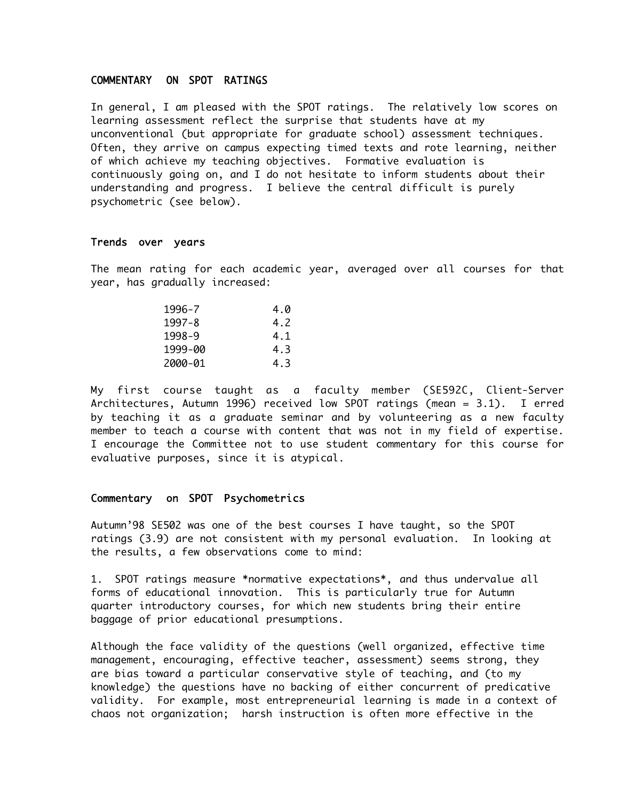### COMMENTARY ON SPOT RATINGS

In general, I am pleased with the SPOT ratings. The relatively low scores on learning assessment reflect the surprise that students have at my unconventional (but appropriate for graduate school) assessment techniques. Often, they arrive on campus expecting timed texts and rote learning, neither of which achieve my teaching objectives. Formative evaluation is continuously going on, and I do not hesitate to inform students about their understanding and progress. I believe the central difficult is purely psychometric (see below).

## Trends over years

The mean rating for each academic year, averaged over all courses for that year, has gradually increased:

| 1996-7  | 4.0 |
|---------|-----|
| 1997-8  | 4.2 |
| 1998-9  | 4.1 |
| 1999-00 | 4.3 |
| 2000-01 | 4.3 |

My first course taught as a faculty member (SE592C, Client-Server Architectures, Autumn 1996) received low SPOT ratings (mean = 3.1). I erred by teaching it as a graduate seminar and by volunteering as a new faculty member to teach a course with content that was not in my field of expertise. I encourage the Committee not to use student commentary for this course for evaluative purposes, since it is atypical.

#### Commentary on SPOT Psychometrics

Autumn'98 SE502 was one of the best courses I have taught, so the SPOT ratings (3.9) are not consistent with my personal evaluation. In looking at the results, a few observations come to mind:

1. SPOT ratings measure \*normative expectations\*, and thus undervalue all forms of educational innovation. This is particularly true for Autumn quarter introductory courses, for which new students bring their entire baggage of prior educational presumptions.

Although the face validity of the questions (well organized, effective time management, encouraging, effective teacher, assessment) seems strong, they are bias toward a particular conservative style of teaching, and (to my knowledge) the questions have no backing of either concurrent of predicative validity. For example, most entrepreneurial learning is made in a context of chaos not organization; harsh instruction is often more effective in the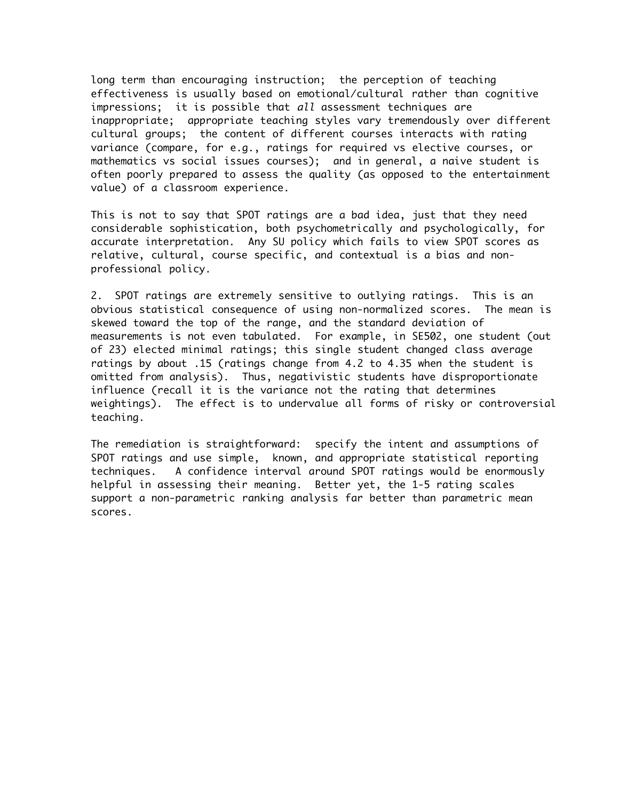long term than encouraging instruction; the perception of teaching effectiveness is usually based on emotional/cultural rather than cognitive impressions; it is possible that all assessment techniques are inappropriate; appropriate teaching styles vary tremendously over different cultural groups; the content of different courses interacts with rating variance (compare, for e.g., ratings for required vs elective courses, or mathematics vs social issues courses); and in general, a naive student is often poorly prepared to assess the quality (as opposed to the entertainment value) of a classroom experience.

This is not to say that SPOT ratings are a bad idea, just that they need considerable sophistication, both psychometrically and psychologically, for accurate interpretation. Any SU policy which fails to view SPOT scores as relative, cultural, course specific, and contextual is a bias and nonprofessional policy.

2. SPOT ratings are extremely sensitive to outlying ratings. This is an obvious statistical consequence of using non-normalized scores. The mean is skewed toward the top of the range, and the standard deviation of measurements is not even tabulated. For example, in SE502, one student (out of 23) elected minimal ratings; this single student changed class average ratings by about .15 (ratings change from 4.2 to 4.35 when the student is omitted from analysis). Thus, negativistic students have disproportionate influence (recall it is the variance not the rating that determines weightings). The effect is to undervalue all forms of risky or controversial teaching.

The remediation is straightforward: specify the intent and assumptions of SPOT ratings and use simple, known, and appropriate statistical reporting techniques. A confidence interval around SPOT ratings would be enormously helpful in assessing their meaning. Better yet, the 1-5 rating scales support a non-parametric ranking analysis far better than parametric mean scores.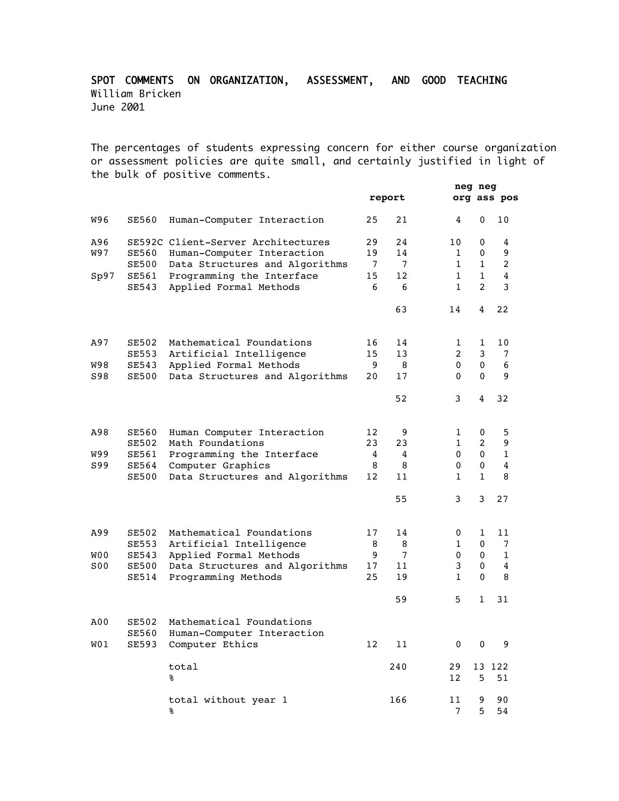# SPOT COMMENTS ON ORGANIZATION, ASSESSMENT, AND GOOD TEACHING William Bricken June 2001

The percentages of students expressing concern for either course organization or assessment policies are quite small, and certainly justified in light of the bulk of positive comments.

|                |                |                                               |    | report | neg neg      |              | org ass pos    |
|----------------|----------------|-----------------------------------------------|----|--------|--------------|--------------|----------------|
| W96            | SE560          | Human-Computer Interaction                    | 25 | 21     | 4            | $\mathbf 0$  | 10             |
| A96            |                | SE592C Client-Server Architectures            | 29 | 24     | 10           | 0            | 4              |
| <b>W97</b>     | <b>SE560</b>   | Human-Computer Interaction                    | 19 | 14     | 1            | 0            | 9              |
|                | <b>SE500</b>   | Data Structures and Algorithms                | 7  | 7      | $\mathbf{1}$ | $\mathbf{1}$ | 2              |
| Sp97           | SE561          | Programming the Interface                     | 15 | 12     | 1            | $\mathbf{1}$ | 4              |
|                | <b>SE543</b>   | Applied Formal Methods                        | 6  | 6      | 1            | 2            | 3              |
|                |                |                                               |    | 63     | 14           | 4            | 22             |
| A97            | <b>SE502</b>   | Mathematical Foundations                      | 16 | 14     | 1            | 1            | 10             |
|                | <b>SE553</b>   | Artificial Intelligence                       | 15 | 13     | 2            | 3            | 7              |
| <b>W98</b>     | <b>SE543</b>   | Applied Formal Methods                        | 9  | 8      | $\mathbf{0}$ | 0            | 6              |
| S98            | <b>SE500</b>   | Data Structures and Algorithms                | 20 | 17     | 0            | 0            | 9              |
|                |                |                                               |    | 52     | 3            | 4            | 32             |
| A98            | <b>SE560</b>   | Human Computer Interaction                    | 12 | 9      | 1            | 0            | 5              |
|                | <b>SE502</b>   | Math Foundations                              | 23 | 23     | 1            | 2            | 9              |
| W99            | SE561          | Programming the Interface                     | 4  | 4      | 0            | 0            | 1              |
| S99            | SE564          | Computer Graphics                             | 8  | 8      | 0            | 0            | $\overline{4}$ |
|                | <b>SE500</b>   | Data Structures and Algorithms                | 12 | 11     | 1            | $\mathbf{1}$ | 8              |
|                |                |                                               |    | 55     | 3            | 3            | 27             |
| A99            | <b>SE502</b>   | Mathematical Foundations                      | 17 | 14     | 0            | 1            | 11             |
|                | <b>SE553</b>   | Artificial Intelligence                       | 8  | 8      | 1            | 0            | 7              |
| WO0            | <b>SE543</b>   | Applied Formal Methods                        | 9  | 7      | 0            | 0            | 1              |
| S <sub>0</sub> | SE500          | Data Structures and Algorithms                | 17 | 11     | 3            | 0            | 4              |
|                | SE514          | Programming Methods                           | 25 | 19     | 1            | 0            | 8              |
|                |                |                                               |    | 59     | 5            | 1            | 31             |
| A00            | SE502          | Mathematical Foundations                      |    |        |              |              |                |
| WO1            | SE560<br>SE593 | Human-Computer Interaction<br>Computer Ethics | 12 | $1\,1$ | $\pmb{0}$    | $\pmb{0}$    | 9              |
|                |                | total                                         |    | 240    | 29           |              | 13 122         |
|                |                | နွ                                            |    |        | 12           | 5            | 51             |
|                |                | total without year 1                          |    | 166    | 11           | 9            | 90             |
|                |                | နွ                                            |    |        | 7            | 5            | 54             |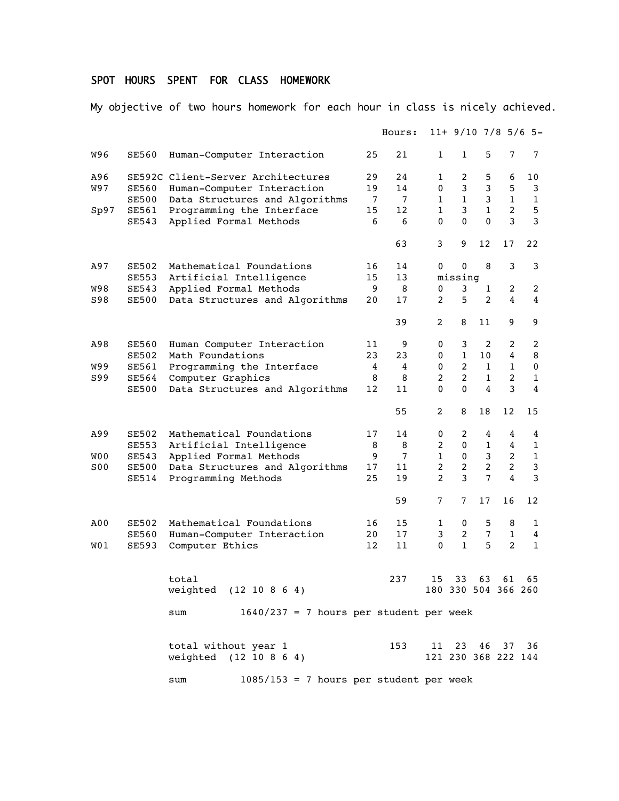# SPOT HOURS SPENT FOR CLASS HOMEWORK

My objective of two hours homework for each hour in class is nicely achieved.

|                |              |                                                  |    | Hours: |                | $11+9/10$ 7/8 5/6 5-            |                |                       |                |
|----------------|--------------|--------------------------------------------------|----|--------|----------------|---------------------------------|----------------|-----------------------|----------------|
| W96            | <b>SE560</b> | Human-Computer Interaction                       | 25 | 21     | 1              | 1                               | 5              | 7                     | 7              |
| A96            |              | SE592C Client-Server Architectures               | 29 | 24     | 1              | 2                               | 5              | 6                     | 10             |
| <b>W97</b>     | <b>SE560</b> | Human-Computer Interaction                       | 19 | 14     | 0              | 3                               | 3              | 5                     | 3              |
|                | <b>SE500</b> | Data Structures and Algorithms                   | 7  | 7      | $\mathbf{1}$   | $\mathbf{1}$                    | 3              | $\mathbf{1}$          | $\mathbf{1}$   |
| Sp97           | SE561        | Programming the Interface                        | 15 | 12     | $\mathbf{1}$   | 3                               | $\mathbf{1}$   | $\overline{2}$        | 5              |
|                | <b>SE543</b> | Applied Formal Methods                           | 6  | 6      | 0              | $\mathbf{0}$                    | $\mathbf{0}$   | 3                     | 3              |
|                |              |                                                  |    | 63     | 3              | 9                               | 12             | 17                    | 22             |
| A97            | <b>SE502</b> | Mathematical Foundations                         | 16 | 14     | 0              | 0                               | 8              | 3                     | 3              |
|                | <b>SE553</b> | Artificial Intelligence                          | 15 | 13     |                | missing                         |                |                       |                |
| W98            | <b>SE543</b> | Applied Formal Methods                           | 9  | 8      | 0              | 3                               | 1              | 2                     | 2              |
| S98            | <b>SE500</b> | Data Structures and Algorithms                   | 20 | 17     | 2              | 5                               | $\overline{2}$ | 4                     | $\overline{4}$ |
|                |              |                                                  |    | 39     | $\overline{2}$ | 8                               | 11             | 9                     | 9              |
| A98            | SE560        | Human Computer Interaction                       | 11 | 9      | 0              | 3                               | 2              | $\overline{2}$        | 2              |
|                | <b>SE502</b> | Math Foundations                                 | 23 | 23     | 0              | $\mathbf{1}$                    | 10             | 4                     | 8              |
| W99            | <b>SE561</b> | Programming the Interface                        | 4  | 4      | 0              | $\overline{2}$                  | $\mathbf{1}$   | 1                     | 0              |
| S99            | SE564        | Computer Graphics                                | 8  | 8      | $\overline{2}$ | $\overline{2}$                  | $\mathbf{1}$   | $\overline{2}$        | 1              |
|                | <b>SE500</b> | Data Structures and Algorithms                   | 12 | 11     | 0              | $\Omega$                        | 4              | 3                     | 4              |
|                |              |                                                  |    | 55     | $\overline{2}$ | 8                               | 18             | 12                    | 15             |
| A99            | <b>SE502</b> | Mathematical Foundations                         | 17 | 14     | 0              | 2                               | 4              | 4                     | 4              |
|                | <b>SE553</b> | Artificial Intelligence                          | 8  | 8      | 2              | 0                               | 1              | 4                     | $\mathbf{1}$   |
| W <sub>0</sub> | <b>SE543</b> | Applied Formal Methods                           | 9  | 7      | $\mathbf{1}$   | 0                               | 3              | $\mathbf{2}^{\prime}$ | $\mathbf 1$    |
| S <sub>0</sub> | <b>SE500</b> | Data Structures and Algorithms                   | 17 | 11     | $\overline{2}$ | $\overline{2}$                  | $\overline{2}$ | $\overline{2}$        | 3              |
|                | <b>SE514</b> | Programming Methods                              | 25 | 19     | $\overline{2}$ | 3                               | 7              | 4                     | 3              |
|                |              |                                                  |    | 59     | 7              | 7                               | 17             | 16                    | 12             |
| A00            | <b>SE502</b> | Mathematical Foundations                         | 16 | 15     | 1              | 0                               | 5              | 8                     | $\mathbf{1}$   |
|                | <b>SE560</b> | Human-Computer Interaction                       | 20 | 17     | 3              | $\overline{2}$                  | 7              | $\mathbf{1}$          | 4              |
| WO 1           | <b>SE593</b> | Computer Ethics                                  | 12 | 11     | 0              | $\mathbf{1}$                    | 5              | $\overline{2}$        | $\mathbf{1}$   |
|                |              |                                                  |    | 237    | 15             |                                 | 33 63 61       |                       | 65             |
|                |              | weighted (12 10 8 6 4)                           |    |        |                | 180 330 504 366 260             |                |                       |                |
|                |              | $1640/237 = 7$ hours per student per week<br>sum |    |        |                |                                 |                |                       |                |
|                |              |                                                  |    |        |                |                                 |                |                       |                |
|                |              | total without year 1<br>weighted (12 10 8 6 4)   |    | 153 —  |                | 11 23 46<br>121 230 368 222 144 |                | 37                    | 36             |
|                |              |                                                  |    |        |                |                                 |                |                       |                |
|                |              | $1085/153 = 7$ hours per student per week<br>sum |    |        |                |                                 |                |                       |                |